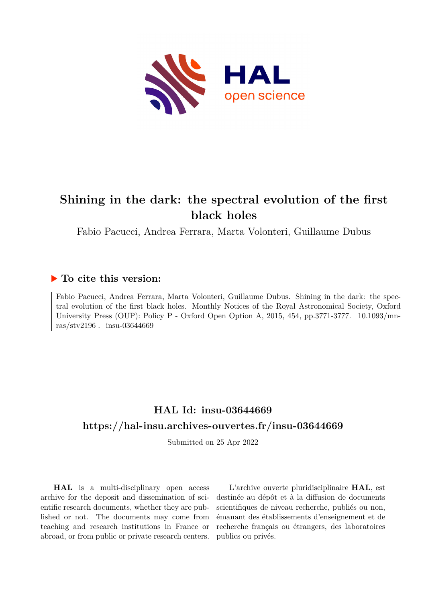

# **Shining in the dark: the spectral evolution of the first black holes**

Fabio Pacucci, Andrea Ferrara, Marta Volonteri, Guillaume Dubus

## **To cite this version:**

Fabio Pacucci, Andrea Ferrara, Marta Volonteri, Guillaume Dubus. Shining in the dark: the spectral evolution of the first black holes. Monthly Notices of the Royal Astronomical Society, Oxford University Press (OUP): Policy P - Oxford Open Option A, 2015, 454, pp.3771-3777. 10.1093/mnras/stv2196. insu-03644669

## **HAL Id: insu-03644669 <https://hal-insu.archives-ouvertes.fr/insu-03644669>**

Submitted on 25 Apr 2022

**HAL** is a multi-disciplinary open access archive for the deposit and dissemination of scientific research documents, whether they are published or not. The documents may come from teaching and research institutions in France or abroad, or from public or private research centers.

L'archive ouverte pluridisciplinaire **HAL**, est destinée au dépôt et à la diffusion de documents scientifiques de niveau recherche, publiés ou non, émanant des établissements d'enseignement et de recherche français ou étrangers, des laboratoires publics ou privés.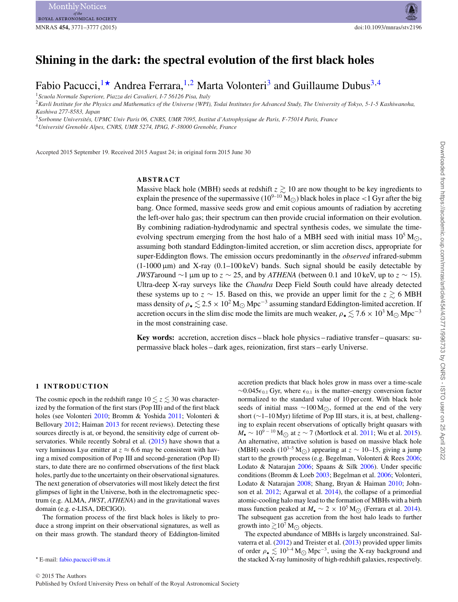## **Shining in the dark: the spectral evolution of the first black holes**

Fabio Pacucci,<sup>1\*</sup> Andrea Ferrara,<sup>1,2</sup> Marta Volonteri<sup>3</sup> and Guillaume Dubus<sup>3,4</sup>

<sup>1</sup>*Scuola Normale Superiore, Piazza dei Cavalieri, I-7 56126 Pisa, Italy*

<sup>2</sup>*Kavli Institute for the Physics and Mathematics of the Universe (WPI), Todai Institutes for Advanced Study, The University of Tokyo, 5-1-5 Kashiwanoha, Kashiwa 277-8583, Japan*

<sup>3</sup>*Sorbonne Universites, UPMC Univ Paris 06, CNRS, UMR 7095, Institut d'Astrophysique de Paris, F-75014 Paris, France ´*

<sup>4</sup>*Universite Grenoble Alpes, CNRS, UMR 5274, IPAG, F-38000 Grenoble, France ´*

Accepted 2015 September 19. Received 2015 August 24; in original form 2015 June 30

## **ABSTRACT**

Massive black hole (MBH) seeds at redshift  $z \gtrsim 10$  are now thought to be key ingredients to explain the presence of the supermassive  $(10^{9-10} M_{\odot})$  black holes in place  $\lt 1$  Gyr after the big bang. Once formed, massive seeds grow and emit copious amounts of radiation by accreting the left-over halo gas; their spectrum can then provide crucial information on their evolution. By combining radiation-hydrodynamic and spectral synthesis codes, we simulate the timeevolving spectrum emerging from the host halo of a MBH seed with initial mass  $10^5 M_{\odot}$ , assuming both standard Eddington-limited accretion, or slim accretion discs, appropriate for super-Eddington flows. The emission occurs predominantly in the *observed* infrared-submm  $(1-1000 \,\mu m)$  and X-ray  $(0.1-100 \,\text{keV})$  bands. Such signal should be easily detectable by *JWST*around  $\sim$ 1 µm up to  $z \sim 25$ , and by *ATHENA* (between 0.1 and 10 keV, up to  $z \sim 15$ ). Ultra-deep X-ray surveys like the *Chandra* Deep Field South could have already detected these systems up to  $z \sim 15$ . Based on this, we provide an upper limit for the  $z \gtrsim 6$  MBH mass density of  $\rho_{\bullet} \lesssim 2.5 \times 10^2 \,\mathrm{M}_{\odot} \,\mathrm{Mpc}^{-3}$  assuming standard Eddington-limited accretion. If accretion occurs in the slim disc mode the limits are much weaker,  $\rho_{\bullet} \lesssim 7.6 \times 10^3$  M<sub>O</sub> Mpc<sup>-3</sup> in the most constraining case.

**Key words:** accretion, accretion discs – black hole physics – radiative transfer – quasars: supermassive black holes – dark ages, reionization, first stars – early Universe.

### **1 INTRODUCTION**

The cosmic epoch in the redshift range  $10 \le z \le 30$  was characterized by the formation of the first stars (Pop III) and of the first black holes (see Volonteri 2010; Bromm & Yoshida 2011; Volonteri & Bellovary 2012; Haiman 2013 for recent reviews). Detecting these sources directly is at, or beyond, the sensitivity edge of current observatories. While recently Sobral et al. (2015) have shown that a very luminous Ly $\alpha$  emitter at  $z \approx 6.6$  may be consistent with having a mixed composition of Pop III and second-generation (Pop II) stars, to date there are no confirmed observations of the first black holes, partly due to the uncertainty on their observational signatures. The next generation of observatories will most likely detect the first glimpses of light in the Universe, both in the electromagnetic spectrum (e.g. ALMA, *JWST*, *ATHENA*) and in the gravitational waves domain (e.g. e-LISA, DECIGO).

The formation process of the first black holes is likely to produce a strong imprint on their observational signatures, as well as on their mass growth. The standard theory of Eddington-limited

accretion predicts that black holes grow in mass over a time-scale  $\sim$ 0.045 $\epsilon$ <sub>0.1</sub> Gyr, where  $\epsilon$ <sub>0.1</sub> is the matter–energy conversion factor normalized to the standard value of 10 per cent. With black hole seeds of initial mass ∼100 M<sub>☉</sub>, formed at the end of the very short (∼1–10 Myr) lifetime of Pop III stars, it is, at best, challenging to explain recent observations of optically bright quasars with *M*•  $\sim 10^{9-10}$  M<sub>○</sub> at  $z \sim 7$  (Mortlock et al. 2011; Wu et al. 2015). An alternative, attractive solution is based on massive black hole (MBH) seeds (10<sup>3–5</sup> M<sub>O</sub>) appearing at  $z \sim 10$ –15, giving a jump start to the growth process (e.g. Begelman, Volonteri & Rees 2006; Lodato & Natarajan 2006; Spaans & Silk 2006). Under specific conditions (Bromm & Loeb 2003; Begelman et al. 2006; Volonteri, Lodato & Natarajan 2008; Shang, Bryan & Haiman 2010; Johnson et al. 2012; Agarwal et al. 2014), the collapse of a primordial atomic-cooling halo may lead to the formation of MBHs with a birth mass function peaked at  $M_{\bullet} \sim 2 \times 10^5$  M<sub>○</sub> (Ferrara et al. 2014). The subsequent gas accretion from the host halo leads to further growth into  $\gtrsim 10^7$  M<sub> $\odot$ </sub> objects.

The expected abundance of MBHs is largely unconstrained. Salvaterra et al. (2012) and Treister et al. (2013) provided upper limits of order  $\rho_{\bullet} \lesssim 10^{3-4} \text{ M}_{\odot} \text{ Mpc}^{-3}$ , using the X-ray background and the stacked X-ray luminosity of high-redshift galaxies, respectively.

E-mail: [fabio.pacucci@sns.it](mailto:fabio.pacucci@sns.it)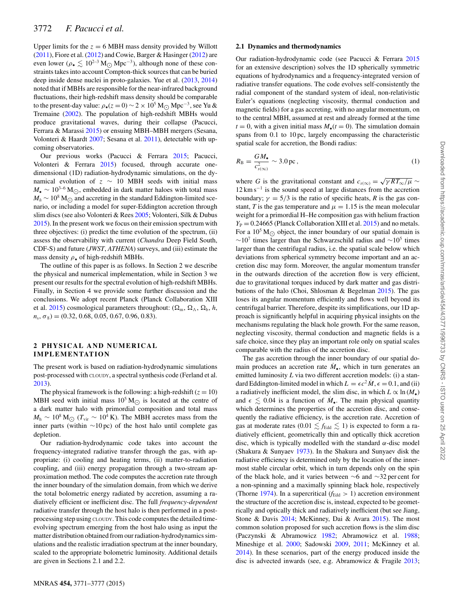Upper limits for the  $z = 6$  MBH mass density provided by Willott (2011), Fiore et al. (2012) and Cowie, Barger & Hasinger (2012) are even lower ( $\rho_{\bullet} \lesssim 10^{2-3}$  M<sub>O</sub> Mpc<sup>-3</sup>), although none of these con-<br>extraints telse into account Compton, thield sources that can be huring straints takes into account Compton-thick sources that can be buried deep inside dense nuclei in proto-galaxies. Yue et al. (2013, 2014) noted that if MBHs are responsible for the near-infrared background fluctuations, their high-redshift mass density should be comparable to the present-day value:  $\rho_*(z=0) \sim 2 \times 10^5 \,\mathrm{M_{\odot}\,Mpc^{-3}}$ , see Yu & Tremaine (2002). The population of high-redshift MBHs would produce gravitational waves, during their collapse (Pacucci, Ferrara & Marassi 2015) or ensuing MBH–MBH mergers (Sesana, Volonteri & Haardt 2007; Sesana et al. 2011), detectable with upcoming observatories.

Our previous works (Pacucci & Ferrara 2015; Pacucci, Volonteri & Ferrara 2015) focused, through accurate onedimensional (1D) radiation-hydrodynamic simulations, on the dynamical evolution of  $z \sim 10$  MBH seeds with initial mass  $M_{\bullet} \sim 10^{3-6} \text{M}_{\odot}$ , embedded in dark matter haloes with total mass  $M_h \sim 10^8$  M<sub> $\odot$ </sub> and accreting in the standard Eddington-limited sce-<br>particular to including a good of the sum of Eddington accretion thermal nario, or including a model for super-Eddington accretion through slim discs (see also Volonteri & Rees 2005; Volonteri, Silk & Dubus 2015). In the present work we focus on their emission spectrum with three objectives: (i) predict the time evolution of the spectrum, (ii) assess the observability with current (*Chandra* Deep Field South, CDF-S) and future (*JWST*, *ATHENA*) surveys, and (iii) estimate the mass density  $\rho_{\bullet}$  of high-redshift MBHs.

The outline of this paper is as follows. In Section 2 we describe the physical and numerical implementation, while in Section 3 we present our results for the spectral evolution of high-redshift MBHs. Finally, in Section 4 we provide some further discussion and the conclusions. We adopt recent Planck (Planck Collaboration XIII et al. 2015) cosmological parameters throughout:  $(\Omega_m, \Omega_\Lambda, \Omega_b, h,$  $n_s$ ,  $\sigma_8$ ) = (0.32, 0.68, 0.05, 0.67, 0.96, 0.83).

## **2 PHYSICAL AND NUMERICAL IMPLEMENTATION**

The present work is based on radiation-hydrodynamic simulations post-processed with CLOUDY, a spectral synthesis code (Ferland et al. 2013).

The physical framework is the following: a high-redshift ( $z = 10$ ) MBH seed with initial mass  $10^5 M_{\odot}$  is located at the centre of a dark matter halo with primordial composition and total mass  $M_h \sim 10^8$  M<sub>O</sub> ( $T_{\text{vir}} \sim 10^4$  K). The MBH accretes mass from the inner parts (within ∼10 pc) of the host halo until complete gas depletion.

Our radiation-hydrodynamic code takes into account the frequency-integrated radiative transfer through the gas, with appropriate: (i) cooling and heating terms, (ii) matter-to-radiation coupling, and (iii) energy propagation through a two-stream approximation method. The code computes the accretion rate through the inner boundary of the simulation domain, from which we derive the total bolometric energy radiated by accretion, assuming a radiatively efficient or inefficient disc. The full *frequency-dependent* radiative transfer through the host halo is then performed in a postprocessing step using CLOUDY. This code computes the detailed timeevolving spectrum emerging from the host halo using as input the matter distribution obtained from our radiation-hydrodynamics simulations and the realistic irradiation spectrum at the inner boundary, scaled to the appropriate bolometric luminosity. Additional details are given in Sections 2.1 and 2.2.

## **2.1 Dynamics and thermodynamics**

Our radiation-hydrodynamic code (see Pacucci & Ferrara 2015 for an extensive description) solves the 1D spherically symmetric equations of hydrodynamics and a frequency-integrated version of radiative transfer equations. The code evolves self-consistently the radial component of the standard system of ideal, non-relativistic Euler's equations (neglecting viscosity, thermal conduction and magnetic fields) for a gas accreting, with no angular momentum, on to the central MBH, assumed at rest and already formed at the time  $t = 0$ , with a given initial mass  $M_{\bullet}(t = 0)$ . The simulation domain spans from 0.1 to 10 pc, largely encompassing the characteristic spatial scale for accretion, the Bondi radius:

$$
R_{\rm B} = \frac{GM_{\bullet}}{c_{s(\infty)}^2} \sim 3.0 \,\text{pc} \,,\tag{1}
$$

where *G* is the gravitational constant and  $c_{s(\infty)} = \sqrt{\gamma RT_{\infty}/\mu}$  ~  $12 \text{ km s}^{-1}$  is the sound speed at large distances from the accretion boundary;  $\gamma = 5/3$  is the ratio of specific heats, *R* is the gas constant, *T* is the gas temperature and  $\mu = 1.15$  is the mean molecular weight for a primordial H–He composition gas with helium fraction  $Y_P = 0.24665$  (Planck Collaboration XIII et al. 2015) and no metals. For a  $10^5$  M<sub> $\odot$ </sub> object, the inner boundary of our spatial domain is  $∼10<sup>7</sup>$  times larger than the Schwarzschild radius and  $∼10<sup>5</sup>$  times larger than the centrifugal radius, i.e. the spatial scale below which deviations from spherical symmetry become important and an accretion disc may form. Moreover, the angular momentum transfer in the outwards direction of the accretion flow is very efficient, due to gravitational torques induced by dark matter and gas distributions of the halo (Choi, Shlosman & Begelman 2015). The gas loses its angular momentum efficiently and flows well beyond its centrifugal barrier. Therefore, despite its simplifications, our 1D approach is significantly helpful in acquiring physical insights on the mechanisms regulating the black hole growth. For the same reason, neglecting viscosity, thermal conduction and magnetic fields is a safe choice, since they play an important role only on spatial scales comparable with the radius of the accretion disc.

The gas accretion through the inner boundary of our spatial domain produces an accretion rate  $M_{\bullet}$ , which in turn generates an emitted luminosity *L* via two different accretion models: (i) a standard Eddington-limited model in which  $L = \epsilon c^2 M$ ,  $\epsilon = 0.1$ , and (ii) a radiatively inefficient model, the slim disc, in which  $L \propto \ln(M_{\bullet})$ and  $\epsilon \leq 0.04$  is a function of  $M_{\bullet}$ . The main physical quantity which determines the properties of the accretion disc, and consequently the radiative efficiency, is the accretion rate. Accretion of gas at moderate rates (0.01  $\leq$   $f_{\text{Edd}} \leq 1$ ) is expected to form a radiatively efficient, geometrically thin and optically thick accretion disc, which is typically modelled with the standard  $\alpha$ -disc model (Shakura & Sunyaev 1973). In the Shakura and Sunyaev disk the radiative efficiency is determined only by the location of the innermost stable circular orbit, which in turn depends only on the spin of the black hole, and it varies between ∼6 and ∼32 per cent for a non-spinning and a maximally spinning black hole, respectively (Thorne 1974). In a supercritical  $(f_{\text{Edd}} > 1)$  accretion environment the structure of the accretion disc is, instead, expected to be geometrically and optically thick and radiatively inefficient (but see Jiang, Stone & Davis 2014; McKinney, Dai & Avara 2015). The most common solution proposed for such accretion flows is the slim disc (Paczynski & Abramowicz 1982; Abramowicz et al. 1988; Mineshige et al. 2000; Sadowski 2009, 2011; McKinney et al. 2014). In these scenarios, part of the energy produced inside the disc is advected inwards (see, e.g. Abramowicz & Fragile 2013;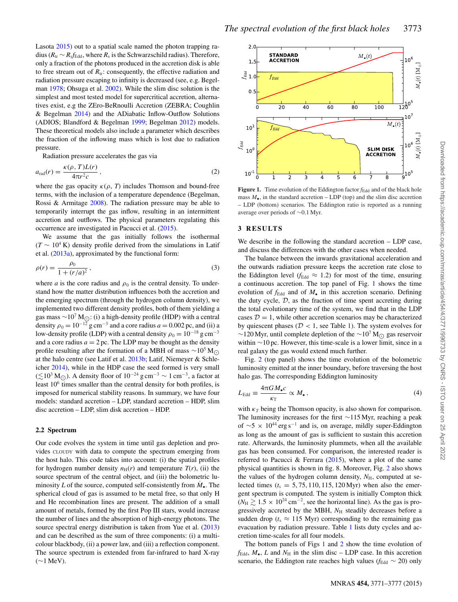Lasota 2015) out to a spatial scale named the photon trapping radius ( $R_{tr} \sim R_s f_{Edd}$ , where  $R_s$  is the Schwarzschild radius). Therefore, only a fraction of the photons produced in the accretion disk is able to free stream out of  $R_{tr}$ : consequently, the effective radiation and radiation pressure escaping to infinity is decreased (see, e.g. Begelman 1978; Ohsuga et al. 2002). While the slim disc solution is the simplest and most tested model for supercritical accretion, alternatives exist, e.g the ZEro-BeRnoulli Accretion (ZEBRA; Coughlin & Begelman 2014) and the ADiabatic Inflow-Outflow Solutions (ADIOS; Blandford & Begelman 1999; Begelman 2012) models. These theoretical models also include a parameter which describes the fraction of the inflowing mass which is lost due to radiation pressure.

Radiation pressure accelerates the gas via

$$
a_{\rm rad}(r) = \frac{\kappa(\rho, T)L(r)}{4\pi r^2 c},\qquad(2)
$$

where the gas opacity  $\kappa(\rho, T)$  includes Thomson and bound-free terms, with the inclusion of a temperature dependence (Begelman, Rossi & Armitage 2008). The radiation pressure may be able to temporarily interrupt the gas inflow, resulting in an intermittent accretion and outflows. The physical parameters regulating this occurrence are investigated in Pacucci et al. (2015).

We assume that the gas initially follows the isothermal  $(T \sim 10^4 \text{ K})$  density profile derived from the simulations in Latif et al. (2013a), approximated by the functional form:

$$
\rho(r) = \frac{\rho_0}{1 + (r/a)^2},\tag{3}
$$

where *a* is the core radius and  $\rho_0$  is the central density. To understand how the matter distribution influences both the accretion and the emerging spectrum (through the hydrogen column density), we implemented two different density profiles, both of them yielding a gas mass ~10<sup>7</sup> M<sub>O</sub>: (i) a high-density profile (HDP) with a central density  $\rho_0 = 10^{-12}$  g cm<sup>-3</sup> and a core radius  $a = 0.002$  pc, and (ii) a low-density profile (LDP) with a central density  $\rho_0 = 10^{-18}$  g cm<sup>-3</sup> and a core radius  $a = 2$  pc. The LDP may be thought as the density profile resulting after the formation of a MBH of mass  $\sim 10^5$  M $\odot$ at the halo centre (see Latif et al. 2013b; Latif, Niemeyer & Schleicher 2014), while in the HDP case the seed formed is very small ( $\lesssim$ 10<sup>3</sup> M<sub>○</sub>). A density floor of 10<sup>-24</sup> g cm<sup>-3</sup> ~ 1 cm<sup>-3</sup>, a factor at least  $10<sup>6</sup>$  times smaller than the central density for both profiles, is imposed for numerical stability reasons. In summary, we have four models: standard accretion – LDP, standard accretion – HDP, slim disc accretion – LDP, slim disk accretion – HDP.

#### **2.2 Spectrum**

Our code evolves the system in time until gas depletion and provides CLOUDY with data to compute the spectrum emerging from the host halo. This code takes into account: (i) the spatial profiles for hydrogen number density  $n_H(r)$  and temperature  $T(r)$ , (ii) the source spectrum of the central object, and (iii) the bolometric luminosity *L* of the source, computed self-consistently from  $M_{\bullet}$ . The spherical cloud of gas is assumed to be metal free, so that only H and He recombination lines are present. The addition of a small amount of metals, formed by the first Pop III stars, would increase the number of lines and the absorption of high-energy photons. The source spectral energy distribution is taken from Yue et al. (2013) and can be described as the sum of three components: (i) a multicolour blackbody, (ii) a power law, and (iii) a reflection component. The source spectrum is extended from far-infrared to hard X-ray  $(\sim 1 \text{ MeV}).$ 



**Figure 1.** Time evolution of the Eddington factor  $f_{\text{Edd}}$  and of the black hole mass  $M_{\bullet}$ , in the standard accretion – LDP (top) and the slim disc accretion – LDP (bottom) scenarios. The Eddington ratio is reported as a running average over periods of ∼0.1 Myr.

#### **3 RESULTS**

We describe in the following the standard accretion – LDP case, and discuss the differences with the other cases when needed.

The balance between the inwards gravitational acceleration and the outwards radiation pressure keeps the accretion rate close to the Eddington level ( $f_{\text{Edd}} \approx 1.2$ ) for most of the time, ensuring a continuous accretion. The top panel of Fig. 1 shows the time evolution of  $f_{\text{Edd}}$  and of  $M_{\bullet}$  in this accretion scenario. Defining the duty cycle,  $D$ , as the fraction of time spent accreting during the total evolutionary time of the system, we find that in the LDP cases  $D = 1$ , while other accretion scenarios may be characterized by quiescent phases ( $D < 1$ , see Table 1). The system evolves for ~120 Myr, until complete depletion of the ~10<sup>7</sup> M<sub>O</sub> gas reservoir within ∼10 pc. However, this time-scale is a lower limit, since in a real galaxy the gas would extend much further.

Fig. 2 (top panel) shows the time evolution of the bolometric luminosity emitted at the inner boundary, before traversing the host halo gas. The corresponding Eddington luminosity

$$
L_{\rm Edd} \equiv \frac{4\pi GM_{\bullet}c}{\kappa_{\rm T}} \propto M_{\bullet} \,, \tag{4}
$$

with  $\kappa_T$  being the Thomson opacity, is also shown for comparison. The luminosity increases for the first ∼115 Myr, reaching a peak of  $\sim$ 5 × 10<sup>44</sup> erg s<sup>-1</sup> and is, on average, mildly super-Eddington as long as the amount of gas is sufficient to sustain this accretion rate. Afterwards, the luminosity plummets, when all the available gas has been consumed. For comparison, the interested reader is referred to Pacucci & Ferrara (2015), where a plot of the same physical quantities is shown in fig. 8. Moreover, Fig. 2 also shows the values of the hydrogen column density,  $N_{\rm H}$ , computed at selected times  $(t<sub>s</sub> = 5, 75, 110, 115, 120 \text{ Myr})$  when also the emergent spectrum is computed. The system is initially Compton thick  $(N_{\rm H} \gtrsim 1.5 \times 10^{24} \text{ cm}^{-2}$ , see the horizontal line). As the gas is progressively accreted by the MBH,  $N_H$  steadily decreases before a sudden drop ( $t_s \approx 115$  Myr) corresponding to the remaining gas evacuation by radiation pressure. Table 1 lists duty cycles and accretion time-scales for all four models.

The bottom panels of Figs 1 and 2 show the time evolution of  $f_{\text{Edd}}$ ,  $M_{\bullet}$ ,  $L$  and  $N_{\text{H}}$  in the slim disc – LDP case. In this accretion scenario, the Eddington rate reaches high values ( $f_{\text{Edd}} \sim 20$ ) only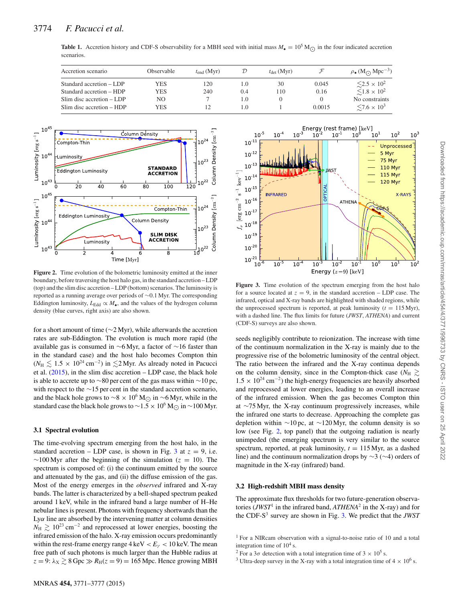|            | <b>Table 1.</b> Accretion history and CDF-S observability for a MBH seed with initial mass $M_{\bullet} = 10^5 M_{\odot}$ in the four indicated accretion |  |  |  |  |
|------------|-----------------------------------------------------------------------------------------------------------------------------------------------------------|--|--|--|--|
| scenarios. |                                                                                                                                                           |  |  |  |  |

| Accretion scenario        | Observable | $t_{end}$ (Myr) |     | $t_{\text{det}}$ (Myr) |        | $\rho$ . (M <sub>O</sub> Mpc <sup>-3</sup> ) |
|---------------------------|------------|-----------------|-----|------------------------|--------|----------------------------------------------|
| Standard accretion – LDP  | <b>YES</b> | 120             | L.O | 30                     | 0.045  | $\leq$ 2.5 $\times$ 10 <sup>2</sup>          |
| Standard accretion – HDP  | <b>YES</b> | 240             | 0.4 | 110                    | 0.16   | $\leq 1.8 \times 10^2$                       |
| Slim disc accretion – LDP | NO         |                 | 1.0 |                        |        | No constraints                               |
| Slim disc accretion – HDP | <b>YES</b> |                 | LO. |                        | 0.0015 | $\leq 7.6 \times 10^3$                       |



**Figure 2.** Time evolution of the bolometric luminosity emitted at the inner boundary, before traversing the host halo gas, in the standard accretion – LDP (top) and the slim disc accretion – LDP (bottom) scenarios. The luminosity is reported as a running average over periods of ∼0.1 Myr. The corresponding Eddington luminosity,  $L_{\text{Edd}} \propto M_{\bullet}$ , and the values of the hydrogen column density (blue curves, right axis) are also shown.

for a short amount of time (∼2 Myr), while afterwards the accretion rates are sub-Eddington. The evolution is much more rapid (the available gas is consumed in ∼6 Myr, a factor of ∼16 faster than in the standard case) and the host halo becomes Compton thin  $(N_H \le 1.5 \times 10^{24} \text{ cm}^{-2})$  in  $≤$ 2 Myr. As already noted in Pacucci et al. (2015), in the slim disc accretion – LDP case, the black hole is able to accrete up to ∼80 per cent of the gas mass within ∼10 pc, with respect to the ∼15 per cent in the standard accretion scenario, and the black hole grows to  $\sim 8 \times 10^6$  M<sub>○</sub> in  $\sim 6$  Myr, while in the standard case the black hole grows to  $\sim$ 1.5 × 10<sup>6</sup> M<sub> $\odot$ </sub> in  $\sim$ 100 Myr.

#### **3.1 Spectral evolution**

The time-evolving spectrum emerging from the host halo, in the standard accretion – LDP case, is shown in Fig. 3 at  $z = 9$ , i.e.  $\sim$ 100 Myr after the beginning of the simulation ( $z = 10$ ). The spectrum is composed of: (i) the continuum emitted by the source and attenuated by the gas, and (ii) the diffuse emission of the gas. Most of the energy emerges in the *observed* infrared and X-ray bands. The latter is characterized by a bell-shaped spectrum peaked around 1 keV, while in the infrared band a large number of H–He nebular lines is present. Photons with frequency shortwards than the Lyα line are absorbed by the intervening matter at column densities  $N_{\rm H} \gtrsim 10^{23} \text{ cm}^{-2}$  and reprocessed at lower energies, boosting the infrared emission of the halo. X-ray emission occurs predominantly within the rest-frame energy range  $4 \text{ keV} < E_{\gamma} < 10 \text{ keV}$ . The mean free path of such photons is much larger than the Hubble radius at  $z = 9$ :  $\lambda_X \gtrsim 8$  Gpc  $\gg R_H(z = 9) = 165$  Mpc. Hence growing MBH



Figure 3. Time evolution of the spectrum emerging from the host halo for a source located at  $z = 9$ , in the standard accretion – LDP case. The infrared, optical and X-ray bands are highlighted with shaded regions, while the unprocessed spectrum is reported, at peak luminosity  $(t = 115 \text{ Myr})$ , with a dashed line. The flux limits for future (*JWST*, *ATHENA*) and current (CDF-S) surveys are also shown.

seeds negligibly contribute to reionization. The increase with time of the continuum normalization in the X-ray is mainly due to the progressive rise of the bolometric luminosity of the central object. The ratio between the infrared and the X-ray continua depends on the column density, since in the Compton-thick case ( $N_{\rm H} \gtrsim$  $1.5 \times 10^{24}$  cm<sup>-2</sup>) the high-energy frequencies are heavily absorbed and reprocessed at lower energies, leading to an overall increase of the infrared emission. When the gas becomes Compton thin at ∼75 Myr, the X-ray continuum progressively increases, while the infrared one starts to decrease. Approaching the complete gas depletion within ∼10 pc, at ∼120 Myr, the column density is so low (see Fig. 2, top panel) that the outgoing radiation is nearly unimpeded (the emerging spectrum is very similar to the source spectrum, reported, at peak luminosity,  $t = 115$  Myr, as a dashed line) and the continuum normalization drops by ∼3 (∼4) orders of magnitude in the X-ray (infrared) band.

### **3.2 High-redshift MBH mass density**

The approximate flux thresholds for two future-generation observatories (*JWST*<sup>1</sup> in the infrared band,  $ATHENA^2$  in the X-ray) and for the CDF-S3 survey are shown in Fig. 3. We predict that the *JWST*

<sup>1</sup> For a NIRcam observation with a signal-to-noise ratio of 10 and a total integration time of  $10^4$  s.

<sup>&</sup>lt;sup>2</sup> For a 3 $\sigma$  detection with a total integration time of 3  $\times$  10<sup>5</sup> s. <sup>3</sup> Ultra-deep survey in the X-ray with a total integration time of 4  $\times$  10<sup>6</sup> s.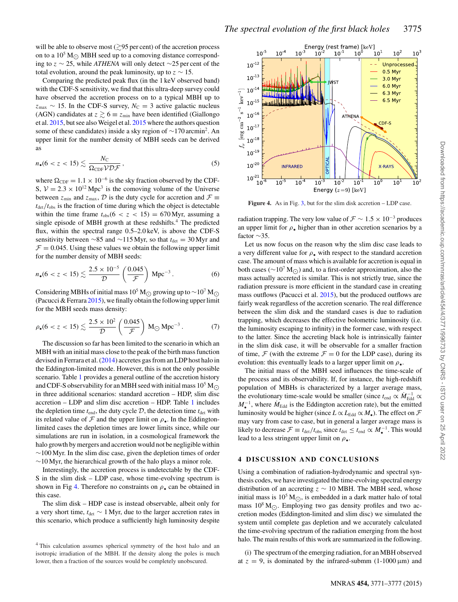will be able to observe most ( $\gtrsim$ 95 per cent) of the accretion process on to a  $10^5$  M<sub> $\odot$ </sub> MBH seed up to a comoving distance correspond-<br>in the conditional distribution of the state of a second of the ing to z ∼ 25, while *ATHENA* will only detect ∼25 per cent of the total evolution, around the peak luminosity, up to  $z \sim 15$ .

Comparing the predicted peak flux (in the 1 keV observed band) with the CDF-S sensitivity, we find that this ultra-deep survey could have observed the accretion process on to a typical MBH up to  $z_{\text{max}} \sim 15$ . In the CDF-S survey,  $N_C = 3$  active galactic nucleus (AGN) candidates at  $z \gtrsim 6 \equiv z_{\text{min}}$  have been identified (Giallongo et al. 2015, but see also Weigel et al. 2015 where the authors question some of these candidates) inside a sky region of <sup>∼</sup>170 arcmin2. An upper limit for the number density of MBH seeds can be derived as

$$
n_{\bullet}(6 < z < 15) \lesssim \frac{N_{\rm C}}{\Omega_{\rm CDF} \mathcal{V} \mathcal{D} \mathcal{F}},\tag{5}
$$

where  $\Omega_{\text{CDF}} = 1.1 \times 10^{-6}$  is the sky fraction observed by the CDF-S,  $V = 2.3 \times 10^{12}$  Mpc<sup>3</sup> is the comoving volume of the Universe between  $z_{min}$  and  $z_{max}$ ,  $D$  is the duty cycle for accretion and  $\mathcal{F} \equiv$  $t_{\text{det}}/t_{\text{obs}}$  is the fraction of time during which the object is detectable within the time frame  $t_{obs}(6 < z < 15) = 670$  Myr, assuming a single episode of MBH growth at these redshifts.<sup>4</sup> The predicted flux, within the spectral range 0.5–2.0 keV, is above the CDF-S sensitivity between ∼85 and ∼115 Myr, so that  $t<sub>det</sub> = 30$  Myr and  $\mathcal{F} = 0.045$ . Using these values we obtain the following upper limit for the number density of MBH seeds:

$$
n_{\bullet}(6 < z < 15) \lesssim \frac{2.5 \times 10^{-5}}{\mathcal{D}} \left(\frac{0.045}{\mathcal{F}}\right) \, \text{Mpc}^{-3} \,. \tag{6}
$$

Considering MBHs of initial mass 10<sup>5</sup> M<sub>☉</sub> growing up to ~10<sup>7</sup> M<sub>☉</sub> (Pacucci & Ferrara  $2015$ ), we finally obtain the following upper limit for the MBH seeds mass density:

$$
\rho_{\bullet}(6 < z < 15) \lesssim \frac{2.5 \times 10^2}{D} \left(\frac{0.045}{\mathcal{F}}\right) M_{\odot} Mpc^{-3}
$$
 (7)

The discussion so far has been limited to the scenario in which an MBH with an initial mass close to the peak of the birth mass function devised in Ferrara et al. (2014) accretes gas from an LDP host halo in the Eddington-limited mode. However, this is not the only possible scenario. Table 1 provides a general outline of the accretion history and CDF-S observability for an MBH seed with initial mass  $10^5$  M<sub> $\odot$ </sub> in three additional scenarios: standard accretion – HDP, slim disc accretion – LDP and slim disc accretion – HDP. Table 1 includes the depletion time  $t_{\text{end}}$ , the duty cycle  $D$ , the detection time  $t_{\text{det}}$  with its related value of  $\mathcal F$  and the upper limit on  $\rho_{\bullet}$ . In the Eddingtonlimited cases the depletion times are lower limits since, while our simulations are run in isolation, in a cosmological framework the halo growth by mergers and accretion would not be negligible within  $\sim$ 100 Myr. In the slim disc case, given the depletion times of order  $~\sim$ 10 Myr, the hierarchical growth of the halo plays a minor role.

Interestingly, the accretion process is undetectable by the CDF-S in the slim disk – LDP case, whose time-evolving spectrum is shown in Fig 4. Therefore no constraints on  $\rho_{\bullet}$  can be obtained in this case.

The slim disk – HDP case is instead observable, albeit only for a very short time,  $t_{\text{det}}$  ∼ 1 Myr, due to the larger accretion rates in this scenario, which produce a sufficiently high luminosity despite



**Figure 4.** As in Fig. 3, but for the slim disk accretion – LDP case.

radiation trapping. The very low value of  $\mathcal{F} \sim 1.5 \times 10^{-3}$  produces an upper limit for  $\rho_{\bullet}$  higher than in other accretion scenarios by a factor ∼35.

Let us now focus on the reason why the slim disc case leads to a very different value for  $\rho_{\bullet}$  with respect to the standard accretion case. The amount of mass which is available for accretion is equal in both cases ( $\sim 10^7 M_{\odot}$ ) and, to a first-order approximation, also the mass actually accreted is similar. This is not strictly true, since the radiation pressure is more efficient in the standard case in creating mass outflows (Pacucci et al. 2015), but the produced outflows are fairly weak regardless of the accretion scenario. The real difference between the slim disk and the standard cases is due to radiation trapping, which decreases the effective bolometric luminosity (i.e. the luminosity escaping to infinity) in the former case, with respect to the latter. Since the accreting black hole is intrinsically fainter in the slim disk case, it will be observable for a smaller fraction of time,  $\mathcal F$  (with the extreme  $\mathcal F = 0$  for the LDP case), during its evolution: this eventually leads to a larger upper limit on  $\rho_{\bullet}$ .

The initial mass of the MBH seed influences the time-scale of the process and its observability. If, for instance, the high-redshift population of MBHs is characterized by a larger average mass, the evolutionary time-scale would be smaller (since  $t_{\text{end}} \propto M_{\text{Edd}}^{-1} \propto$  $M_{\bullet}^{-1}$ , where  $M_{\rm Edd}$  is the Eddington accretion rate), but the emitted luminosity would be higher (since  $L \propto L_{\text{Edd}} \propto M_{\bullet}$ ). The effect on  $\mathcal F$ may vary from case to case, but in general a larger average mass is likely to decrease  $\mathcal{F} \equiv t_{\text{det}}/t_{\text{obs}}$  since  $t_{\text{det}} \le t_{\text{end}} \propto M_{\bullet}^{-1}$ . This would lead to a less stringent upper limit on  $\rho_{\bullet}$ .

### **4 DISCUSSION AND CONCLUSIONS**

Using a combination of radiation-hydrodynamic and spectral synthesis codes, we have investigated the time-evolving spectral energy distribution of an accreting  $z \sim 10$  MBH. The MBH seed, whose initial mass is  $10^5$  M<sub>O</sub>, is embedded in a dark matter halo of total mass  $10^8$  M<sub>O</sub>. Employing two gas density profiles and two accretion modes (Eddington-limited and slim disc) we simulated the system until complete gas depletion and we accurately calculated the time-evolving spectrum of the radiation emerging from the host halo. The main results of this work are summarized in the following.

(i) The spectrum of the emerging radiation, for an MBH observed at  $z = 9$ , is dominated by the infrared-submm (1-1000  $\mu$ m) and

<sup>&</sup>lt;sup>4</sup> This calculation assumes spherical symmetry of the host halo and an isotropic irradiation of the MBH. If the density along the poles is much lower, then a fraction of the sources would be completely unobscured.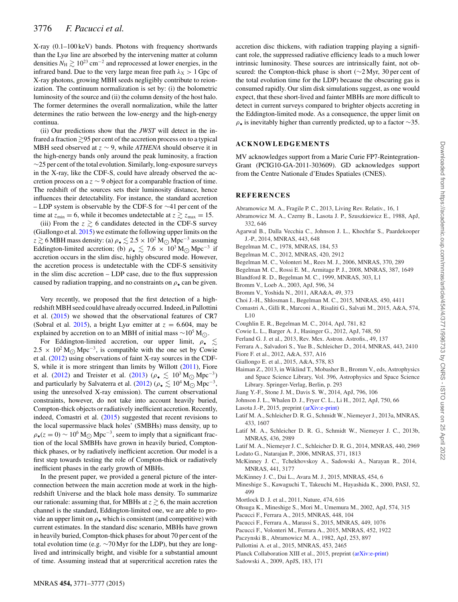X-ray (0.1–100 keV) bands. Photons with frequency shortwards than the  $Ly\alpha$  line are absorbed by the intervening matter at column densities  $N_{\rm H} \gtrsim 10^{23} \, {\rm cm}^{-2}$  and reprocessed at lower energies, in the infrared band. Due to the very large mean free path  $\lambda_X > 1$  Gpc of X-ray photons, growing MBH seeds negligibly contribute to reionization. The continuum normalization is set by: (i) the bolometric luminosity of the source and (ii) the column density of the host halo. The former determines the overall normalization, while the latter determines the ratio between the low-energy and the high-energy continua.

(ii) Our predictions show that the *JWST* will detect in the infrared a fraction  ${\gtrsim}95$  per cent of the accretion process on to a typical MBH seed observed at z ∼ 9, while *ATHENA* should observe it in the high-energy bands only around the peak luminosity, a fraction  $\sim$ 25 per cent of the total evolution. Similarly, long-exposure surveys in the X-ray, like the CDF-S, could have already observed the accretion process on a  $z \sim 9$  object for a comparable fraction of time. The redshift of the sources sets their luminosity distance, hence influences their detectability. For instance, the standard accretion – LDP system is observable by the CDF-S for  $\sim$ 41 per cent of the time at  $z_{\text{min}} = 6$ , while it becomes undetectable at  $z \gtrsim z_{\text{max}} = 15$ .

(iii) From the  $z \gtrsim 6$  candidates detected in the CDF-S survey (Giallongo et al. 2015) we estimate the following upper limits on the z  $\gtrsim$  6 MBH mass density: (a)  $\rho_* \lesssim 2.5 \times 10^2$  M<sub>O</sub> Mpc<sup>-3</sup> assuming Eddington-limited accretion; (b)  $\rho_* \lesssim 7.6 \times 10^3 \,\mathrm{M}_{\odot} \,\mathrm{Mpc^{-3}}$  if accretion occurs in the slim disc, highly obscured mode. However, the accretion process is undetectable with the CDF-S sensitivity in the slim disc accretion – LDP case, due to the flux suppression caused by radiation trapping, and no constraints on  $\rho_{\bullet}$  can be given.

Very recently, we proposed that the first detection of a highredshift MBH seed could have already occurred. Indeed, in Pallottini et al. (2015) we showed that the observational features of CR7 (Sobral et al. 2015), a bright Ly $\alpha$  emitter at  $z = 6.604$ , may be explained by accretion on to an MBH of initial mass ~10<sup>5</sup> M<sub>○</sub>.

For Eddington-limited accretion, our upper limit,  $\rho_{\bullet} \lesssim$  $2.5 \times 10^2 \text{M}_{\odot} \text{Mpc}^{-3}$ , is compatible with the one set by Cowie et al. (2012) using observations of faint X-ray sources in the CDF-S, while it is more stringent than limits by Willott (2011), Fiore et al. (2012) and Treister et al. (2013) ( $\rho_{\bullet} \lesssim 10^{3} \text{ M}_{\odot} \text{ Mpc}^{-3}$ ) and particularly by Salvaterra et al. (2012) ( $\rho_{\bullet} \lesssim 10^4 \,\mathrm{M}_{\odot} \,\mathrm{Mpc}^{-3}$ , using the unresolved X-ray emission). The current observational constraints, however, do not take into account heavily buried, Compton-thick objects or radiatively inefficient accretion. Recently, indeed, Comastri et al. (2015) suggested that recent revisions to the local supermassive black holes' (SMBHs) mass density, up to  $\rho_{\bullet}(z=0) \sim 10^{6} \text{ M}_{\odot} \text{ Mpc}^{-3}$ , seem to imply that a significant fraction of the local SMBHs have grown in heavily buried, Comptonthick phases, or by radiatively inefficient accretion. Our model is a first step towards testing the role of Compton-thick or radiatively inefficient phases in the early growth of MBHs.

In the present paper, we provided a general picture of the interconnection between the main accretion mode at work in the highredshift Universe and the black hole mass density. To summarize our rationale: assuming that, for MBHs at  $z\gtrsim$  6, the main accretion channel is the standard, Eddington-limited one, we are able to provide an upper limit on  $\rho_{\bullet}$  which is consistent (and competitive) with current estimates. In the standard disc scenario, MBHs have grown in heavily buried, Compton-thick phases for about 70 per cent of the total evolution time (e.g. ∼70 Myr for the LDP), but they are longlived and intrinsically bright, and visible for a substantial amount of time. Assuming instead that at supercritical accretion rates the

accretion disc thickens, with radiation trapping playing a significant role, the suppressed radiative efficiency leads to a much lower intrinsic luminosity. These sources are intrinsically faint, not obscured: the Compton-thick phase is short (∼2 Myr, 30 per cent of the total evolution time for the LDP) because the obscuring gas is consumed rapidly. Our slim disk simulations suggest, as one would expect, that these short-lived and fainter MBHs are more difficult to detect in current surveys compared to brighter objects accreting in the Eddington-limited mode. As a consequence, the upper limit on  $\rho_{\bullet}$  is inevitably higher than currently predicted, up to a factor ∼35.

#### **ACKNOWLEDGEMENTS**

MV acknowledges support from a Marie Curie FP7-Reintegration-Grant (PCIG10-GA-2011-303609). GD acknowledges support from the Centre Nationale d'Etudes Spatiales (CNES).

#### **REFERENCES**

- Abramowicz M. A., Fragile P. C., 2013, Living Rev. Relativ., 16, 1
- Abramowicz M. A., Czerny B., Lasota J. P., Szuszkiewicz E., 1988, ApJ, 332, 646
- Agarwal B., Dalla Vecchia C., Johnson J. L., Khochfar S., Paardekooper J.-P., 2014, MNRAS, 443, 648
- Begelman M. C., 1978, MNRAS, 184, 53
- Begelman M. C., 2012, MNRAS, 420, 2912
- Begelman M. C., Volonteri M., Rees M. J., 2006, MNRAS, 370, 289
- Begelman M. C., Rossi E. M., Armitage P. J., 2008, MNRAS, 387, 1649
- Blandford R. D., Begelman M. C., 1999, MNRAS, 303, L1
- Bromm V., Loeb A., 2003, ApJ, 596, 34
- Bromm V., Yoshida N., 2011, ARA&A, 49, 373
- Choi J.-H., Shlosman I., Begelman M. C., 2015, MNRAS, 450, 4411
- Comastri A., Gilli R., Marconi A., Risaliti G., Salvati M., 2015, A&A, 574, L10
- Coughlin E. R., Begelman M. C., 2014, ApJ, 781, 82
- Cowie L. L., Barger A. J., Hasinger G., 2012, ApJ, 748, 50
- Ferland G. J. et al., 2013, Rev. Mex. Astron. Astrofis., 49, 137
- Ferrara A., Salvadori S., Yue B., Schleicher D., 2014, MNRAS, 443, 2410
- Fiore F. et al., 2012, A&A, 537, A16
- Giallongo E. et al., 2015, A&A, 578, 83
- Haiman Z., 2013, in Wiklind T., Mobasher B., Bromm V., eds, Astrophysics and Space Science Library, Vol. 396, Astrophysics and Space Science Library. Springer-Verlag, Berlin, p. 293
- Jiang Y.-F., Stone J. M., Davis S. W., 2014, ApJ, 796, 106
- Johnson J. L., Whalen D. J., Fryer C. L., Li H., 2012, ApJ, 750, 66
- Lasota J.-P., 2015, preprint [\(arXiv:e-print\)](http://arxiv.org/abs/e-print)
- Latif M. A., Schleicher D. R. G., Schmidt W., Niemeyer J., 2013a, MNRAS, 433, 1607
- Latif M. A., Schleicher D. R. G., Schmidt W., Niemeyer J. C., 2013b, MNRAS, 436, 2989
- Latif M. A., Niemeyer J. C., Schleicher D. R. G., 2014, MNRAS, 440, 2969
- Lodato G., Natarajan P., 2006, MNRAS, 371, 1813
- McKinney J. C., Tchekhovskoy A., Sadowski A., Narayan R., 2014, MNRAS, 441, 3177
- McKinney J. C., Dai L., Avara M. J., 2015, MNRAS, 454, 6
- Mineshige S., Kawaguchi T., Takeuchi M., Hayashida K., 2000, PASJ, 52, 499
- Mortlock D. J. et al., 2011, Nature, 474, 616
- Ohsuga K., Mineshige S., Mori M., Umemura M., 2002, ApJ, 574, 315
- Pacucci F., Ferrara A., 2015, MNRAS, 448, 104
- Pacucci F., Ferrara A., Marassi S., 2015, MNRAS, 449, 1076
- Pacucci F., Volonteri M., Ferrara A., 2015, MNRAS, 452, 1922
- Paczynski B., Abramowicz M. A., 1982, ApJ, 253, 897
- Pallottini A. et al., 2015, MNRAS, 453, 2465
- Planck Collaboration XIII et al., 2015, preprint [\(arXiv:e-print\)](http://arxiv.org/abs/e-print)
- Sadowski A., 2009, ApJS, 183, 171